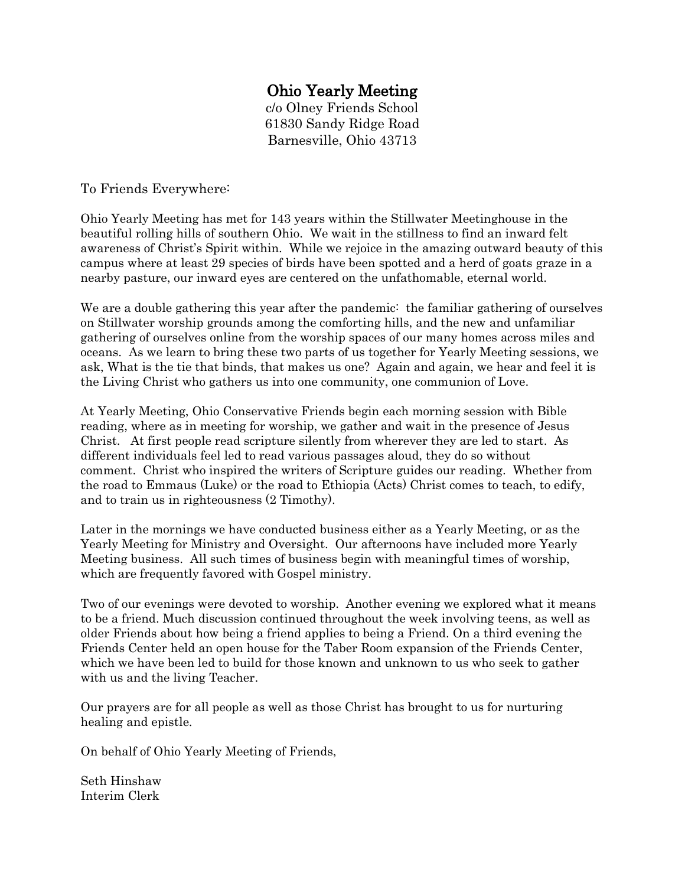## Ohio Yearly Meeting

c/o Olney Friends School 61830 Sandy Ridge Road Barnesville, Ohio 43713

To Friends Everywhere:

Ohio Yearly Meeting has met for 143 years within the Stillwater Meetinghouse in the beautiful rolling hills of southern Ohio. We wait in the stillness to find an inward felt awareness of Christ's Spirit within. While we rejoice in the amazing outward beauty of this campus where at least 29 species of birds have been spotted and a herd of goats graze in a nearby pasture, our inward eyes are centered on the unfathomable, eternal world.

We are a double gathering this year after the pandemic: the familiar gathering of ourselves on Stillwater worship grounds among the comforting hills, and the new and unfamiliar gathering of ourselves online from the worship spaces of our many homes across miles and oceans. As we learn to bring these two parts of us together for Yearly Meeting sessions, we ask, What is the tie that binds, that makes us one? Again and again, we hear and feel it is the Living Christ who gathers us into one community, one communion of Love.

At Yearly Meeting, Ohio Conservative Friends begin each morning session with Bible reading, where as in meeting for worship, we gather and wait in the presence of Jesus Christ. At first people read scripture silently from wherever they are led to start. As different individuals feel led to read various passages aloud, they do so without comment. Christ who inspired the writers of Scripture guides our reading. Whether from the road to Emmaus (Luke) or the road to Ethiopia (Acts) Christ comes to teach, to edify, and to train us in righteousness (2 Timothy).

Later in the mornings we have conducted business either as a Yearly Meeting, or as the Yearly Meeting for Ministry and Oversight. Our afternoons have included more Yearly Meeting business. All such times of business begin with meaningful times of worship, which are frequently favored with Gospel ministry.

Two of our evenings were devoted to worship. Another evening we explored what it means to be a friend. Much discussion continued throughout the week involving teens, as well as older Friends about how being a friend applies to being a Friend. On a third evening the Friends Center held an open house for the Taber Room expansion of the Friends Center, which we have been led to build for those known and unknown to us who seek to gather with us and the living Teacher.

Our prayers are for all people as well as those Christ has brought to us for nurturing healing and epistle.

On behalf of Ohio Yearly Meeting of Friends,

Seth Hinshaw Interim Clerk